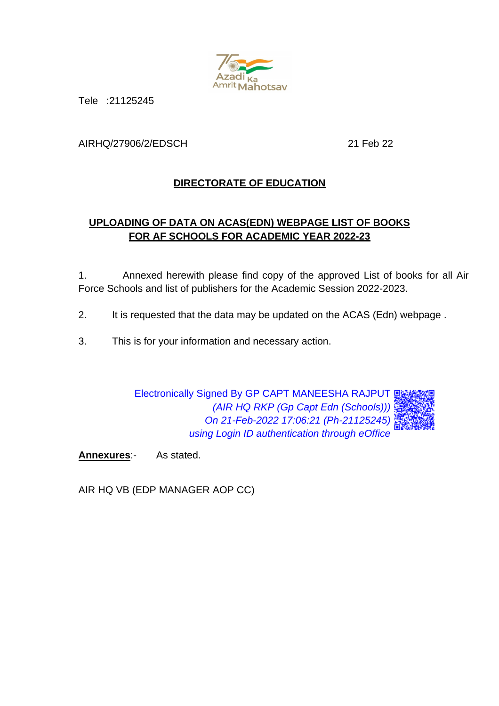

Tele :21125245

AIRHQ/27906/2/EDSCH 21 Feb 22

# **DIRECTORATE OF EDUCATION**

# **UPLOADING OF DATA ON ACAS(EDN) WEBPAGE LIST OF BOOKS FOR AF SCHOOLS FOR ACADEMIC YEAR 2022-23**

1. Annexed herewith please find copy of the approved List of books for all Air Force Schools and list of publishers for the Academic Session 2022-2023.

- 2. It is requested that the data may be updated on the ACAS (Edn) webpage.
- 3. This is for your information and necessary action.

Electronically Signed By GP CAPT MANEESHA RAJPUT *(AIR HQ RKP (Gp Capt Edn (Schools))) On 21-Feb-2022 17:06:21 (Ph-21125245) using Login ID authentication through eOffice*

**Annexures**:- As stated.

AIR HQ VB (EDP MANAGER AOP CC)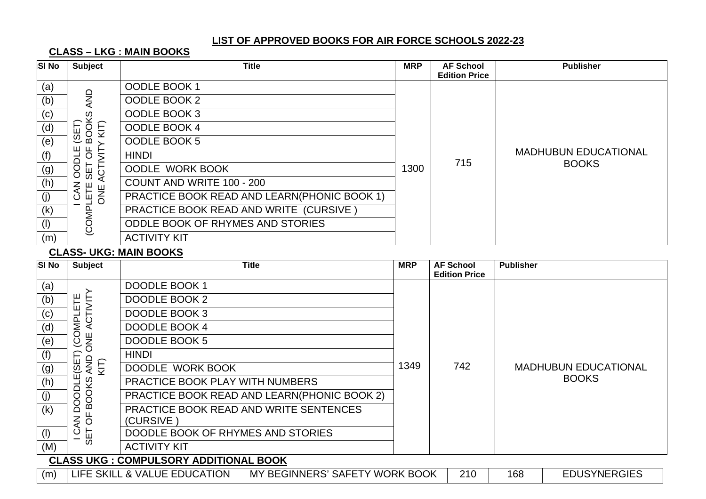**CLASS – LKG : MAIN BOOKS**

| <b>SI No</b> | <b>Subject</b>                 | <b>Title</b>                                | <b>MRP</b> | <b>AF School</b>     | <b>Publisher</b>            |
|--------------|--------------------------------|---------------------------------------------|------------|----------------------|-----------------------------|
| (a)          |                                | OODLE BOOK 1                                |            | <b>Edition Price</b> |                             |
| (b)          | <b>AND</b>                     | OODLE BOOK 2                                |            |                      |                             |
| (c)          | ဖွ                             | OODLE BOOK 3                                |            |                      |                             |
| (d)          | $\rm \ddot{\rm \odot}$<br>KIT) | OODLE BOOK 4                                |            |                      |                             |
| (e)          | $rac{6}{20}$                   | OODLE BOOK 5                                |            |                      |                             |
| (f)          | щ<br>ී උ                       | <b>HINDI</b>                                |            | 715                  | <b>MADHUBUN EDUCATIONAL</b> |
| (g)          | $\overline{O}$<br><b>LES</b>   | <b>OODLE WORK BOOK</b>                      | 1300       |                      | <b>BOOKS</b>                |
| (h)          | ∢<br>ξ                         | COUNT AND WRITE 100 - 200                   |            |                      |                             |
| (j)          | LETE<br>ONE<br>δĿ              | PRACTICE BOOK READ AND LEARN(PHONIC BOOK 1) |            |                      |                             |
| (k)          |                                | PRACTICE BOOK READ AND WRITE (CURSIVE)      |            |                      |                             |
| (1)          | (COMP)                         | <b>ODDLE BOOK OF RHYMES AND STORIES</b>     |            |                      |                             |
| (m)          |                                | <b>ACTIVITY KIT</b>                         |            |                      |                             |

#### **CLASS- UKG: MAIN BOOKS**

| <b>SI No</b> | <b>Subject</b>                               | Title                                                          | <b>MRP</b> | <b>AF School</b><br><b>Edition Price</b> | <b>Publisher</b> |                             |  |  |
|--------------|----------------------------------------------|----------------------------------------------------------------|------------|------------------------------------------|------------------|-----------------------------|--|--|
| (a)          |                                              | <b>DOODLE BOOK 1</b>                                           |            |                                          |                  |                             |  |  |
| (b)          | ACTIVITY<br>쁜                                | DOODLE BOOK 2                                                  |            |                                          |                  |                             |  |  |
| (c)          | ப்                                           | DOODLE BOOK 3                                                  |            |                                          |                  |                             |  |  |
| (d)          | OMP                                          | DOODLE BOOK 4                                                  |            |                                          |                  |                             |  |  |
| (e)          | $\sum_{i=1}^{n}$<br>$\overline{O}$           | DOODLE BOOK 5                                                  |            |                                          |                  |                             |  |  |
| (f)          |                                              | <b>HINDI</b>                                                   |            |                                          |                  |                             |  |  |
| (g)          | (SET)<br>AND<br>KIT)                         | DOODLE WORK BOOK                                               | 1349       | 742                                      |                  | <b>MADHUBUN EDUCATIONAL</b> |  |  |
| (h)          | щ                                            | PRACTICE BOOK PLAY WITH NUMBERS                                |            |                                          |                  | <b>BOOKS</b>                |  |  |
| (j)          | <b>BOOKS</b><br>ā<br>O                       | PRACTICE BOOK READ AND LEARN(PHONIC BOOK 2)                    |            |                                          |                  |                             |  |  |
| (k)          | ≏                                            | PRACTICE BOOK READ AND WRITE SENTENCES                         |            |                                          |                  |                             |  |  |
|              | p<br>Z<br>∢                                  | (CURSIVE)                                                      |            |                                          |                  |                             |  |  |
| (1)          | ပ<br><b>T3S</b>                              | DOODLE BOOK OF RHYMES AND STORIES                              |            |                                          |                  |                             |  |  |
| (M)          |                                              | <b>ACTIVITY KIT</b>                                            |            |                                          |                  |                             |  |  |
|              | <b>CLASS UKG: COMPULSORY ADDITIONAL BOOK</b> |                                                                |            |                                          |                  |                             |  |  |
| (m)          |                                              | LIFE SKILL & VALUE EDUCATION<br>MY BEGINNERS' SAFETY WORK BOOK |            | 210                                      | 168              | <b>EDUSYNERGIES</b>         |  |  |

N | MY BEGINNERS' SAFETY WORK BOOK | 210 | 168 | EDUSYNERGIES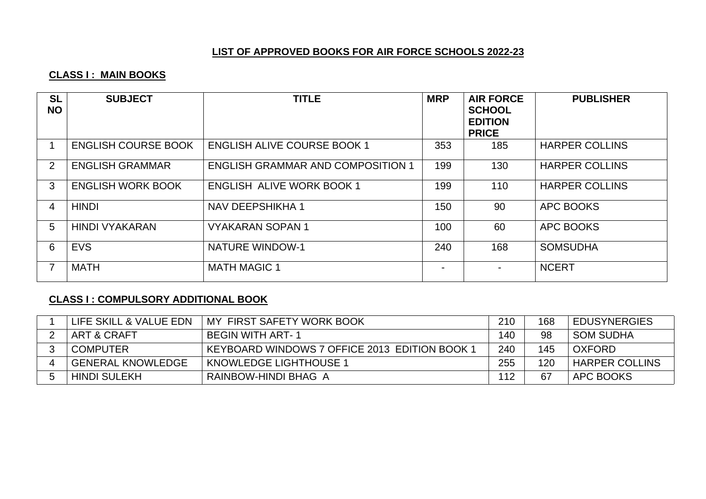# **CLASS I : MAIN BOOKS**

| <b>SL</b><br><b>NO</b> | <b>SUBJECT</b>             | <b>TITLE</b>                             | <b>MRP</b> | <b>AIR FORCE</b><br><b>SCHOOL</b><br><b>EDITION</b><br><b>PRICE</b> | <b>PUBLISHER</b>      |
|------------------------|----------------------------|------------------------------------------|------------|---------------------------------------------------------------------|-----------------------|
|                        | <b>ENGLISH COURSE BOOK</b> | <b>ENGLISH ALIVE COURSE BOOK 1</b>       | 353        | 185                                                                 | <b>HARPER COLLINS</b> |
| $2^{\circ}$            | <b>ENGLISH GRAMMAR</b>     | <b>ENGLISH GRAMMAR AND COMPOSITION 1</b> | 199        | 130                                                                 | <b>HARPER COLLINS</b> |
| 3                      | <b>ENGLISH WORK BOOK</b>   | <b>ENGLISH ALIVE WORK BOOK 1</b>         | 199        | 110                                                                 | <b>HARPER COLLINS</b> |
| 4                      | <b>HINDI</b>               | NAV DEEPSHIKHA 1                         | 150        | 90                                                                  | APC BOOKS             |
| 5                      | <b>HINDI VYAKARAN</b>      | <b>VYAKARAN SOPAN 1</b>                  | 100        | 60                                                                  | APC BOOKS             |
| 6                      | <b>EVS</b>                 | <b>NATURE WINDOW-1</b>                   | 240        | 168                                                                 | <b>SOMSUDHA</b>       |
|                        | <b>MATH</b>                | <b>MATH MAGIC 1</b>                      |            |                                                                     | <b>NCERT</b>          |

# **CLASS I : COMPULSORY ADDITIONAL BOOK**

| LIFE SKILL & VALUE EDN   | MY FIRST SAFETY WORK BOOK                     | 210 | 168 | <b>EDUSYNERGIES</b>   |
|--------------------------|-----------------------------------------------|-----|-----|-----------------------|
| ART & CRAFT              | <b>BEGIN WITH ART-1</b>                       | 140 | 98  | <b>SOM SUDHA</b>      |
| <b>COMPUTER</b>          | KEYBOARD WINDOWS 7 OFFICE 2013 EDITION BOOK 1 | 240 | 145 | <b>OXFORD</b>         |
| <b>GENERAL KNOWLEDGE</b> | <b>KNOWLEDGE LIGHTHOUSE 1</b>                 | 255 | 120 | <b>HARPER COLLINS</b> |
| <b>HINDI SULEKH</b>      | RAINBOW-HINDI BHAG A                          | 112 | 67  | APC BOOKS             |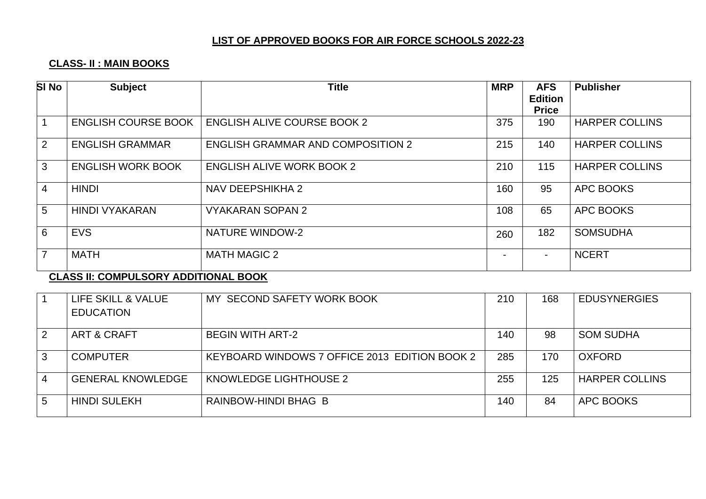# **CLASS- II : MAIN BOOKS**

| <b>SI No</b>   | <b>Subject</b>             | <b>Title</b>                             | <b>MRP</b> | <b>AFS</b><br><b>Edition</b> | <b>Publisher</b>      |
|----------------|----------------------------|------------------------------------------|------------|------------------------------|-----------------------|
|                |                            |                                          |            | <b>Price</b>                 |                       |
|                | <b>ENGLISH COURSE BOOK</b> | <b>ENGLISH ALIVE COURSE BOOK 2</b>       | 375        | 190                          | <b>HARPER COLLINS</b> |
| $\overline{2}$ | <b>ENGLISH GRAMMAR</b>     | <b>ENGLISH GRAMMAR AND COMPOSITION 2</b> | 215        | 140                          | <b>HARPER COLLINS</b> |
| 3              | <b>ENGLISH WORK BOOK</b>   | <b>ENGLISH ALIVE WORK BOOK 2</b>         | 210        | 115                          | <b>HARPER COLLINS</b> |
| $\overline{4}$ | <b>HINDI</b>               | NAV DEEPSHIKHA 2                         | 160        | 95                           | APC BOOKS             |
| 5              | <b>HINDI VYAKARAN</b>      | <b>VYAKARAN SOPAN 2</b>                  | 108        | 65                           | <b>APC BOOKS</b>      |
| 6              | <b>EVS</b>                 | <b>NATURE WINDOW-2</b>                   | 260        | 182                          | <b>SOMSUDHA</b>       |
|                | <b>MATH</b>                | <b>MATH MAGIC 2</b>                      |            | $\blacksquare$               | <b>NCERT</b>          |

# **CLASS II: COMPULSORY ADDITIONAL BOOK**

|   | LIFE SKILL & VALUE       | MY SECOND SAFETY WORK BOOK                    | 210 | 168 | <b>EDUSYNERGIES</b>   |
|---|--------------------------|-----------------------------------------------|-----|-----|-----------------------|
|   | <b>EDUCATION</b>         |                                               |     |     |                       |
| 2 | ART & CRAFT              | <b>BEGIN WITH ART-2</b>                       | 140 | 98  | <b>SOM SUDHA</b>      |
| 3 | <b>COMPUTER</b>          | KEYBOARD WINDOWS 7 OFFICE 2013 EDITION BOOK 2 | 285 | 170 | <b>OXFORD</b>         |
|   | <b>GENERAL KNOWLEDGE</b> | KNOWLEDGE LIGHTHOUSE 2                        | 255 | 125 | <b>HARPER COLLINS</b> |
| 5 | <b>HINDI SULEKH</b>      | RAINBOW-HINDI BHAG B                          | 140 | 84  | APC BOOKS             |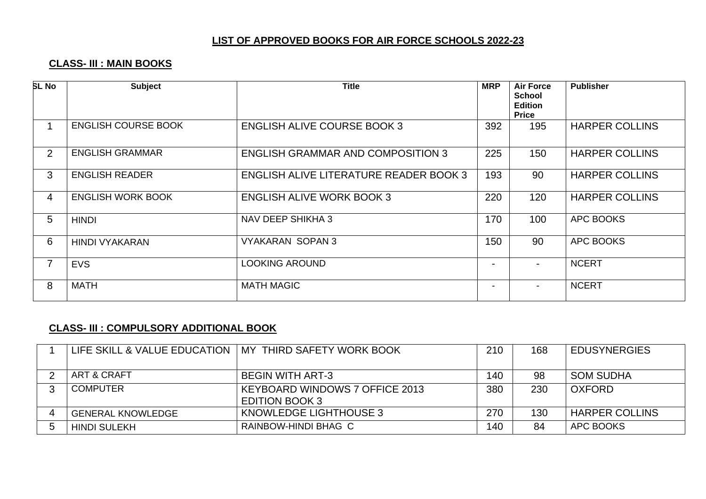# **CLASS- III : MAIN BOOKS**

| <b>SL No</b>   | <b>Subject</b>             | <b>Title</b>                                  | <b>MRP</b> | <b>Air Force</b><br><b>School</b><br><b>Edition</b><br><b>Price</b> | <b>Publisher</b>      |
|----------------|----------------------------|-----------------------------------------------|------------|---------------------------------------------------------------------|-----------------------|
|                | <b>ENGLISH COURSE BOOK</b> | <b>ENGLISH ALIVE COURSE BOOK 3</b>            | 392        | 195                                                                 | <b>HARPER COLLINS</b> |
| $\overline{2}$ | <b>ENGLISH GRAMMAR</b>     | <b>ENGLISH GRAMMAR AND COMPOSITION 3</b>      | 225        | 150                                                                 | <b>HARPER COLLINS</b> |
| 3              | <b>ENGLISH READER</b>      | <b>ENGLISH ALIVE LITERATURE READER BOOK 3</b> | 193        | 90                                                                  | <b>HARPER COLLINS</b> |
| 4              | <b>ENGLISH WORK BOOK</b>   | <b>ENGLISH ALIVE WORK BOOK 3</b>              | 220        | 120                                                                 | <b>HARPER COLLINS</b> |
| 5              | <b>HINDI</b>               | NAV DEEP SHIKHA 3                             | 170        | 100                                                                 | APC BOOKS             |
| 6              | <b>HINDI VYAKARAN</b>      | <b>VYAKARAN SOPAN 3</b>                       | 150        | 90                                                                  | APC BOOKS             |
| 7              | <b>EVS</b>                 | LOOKING AROUND                                |            | ۰.                                                                  | <b>NCERT</b>          |
| 8              | <b>MATH</b>                | <b>MATH MAGIC</b>                             |            |                                                                     | <b>NCERT</b>          |

#### **CLASS- III : COMPULSORY ADDITIONAL BOOK**

| LIFE SKILL & VALUE EDUCATION | MY THIRD SAFETY WORK BOOK                                      | 210 | 168 | <b>EDUSYNERGIES</b>   |
|------------------------------|----------------------------------------------------------------|-----|-----|-----------------------|
| ART & CRAFT                  | <b>BEGIN WITH ART-3</b>                                        | 140 | 98  | <b>SOM SUDHA</b>      |
| <b>COMPUTER</b>              | <b>KEYBOARD WINDOWS 7 OFFICE 2013</b><br><b>EDITION BOOK 3</b> | 380 | 230 | <b>OXFORD</b>         |
| <b>GENERAL KNOWLEDGE</b>     | KNOWLEDGE LIGHTHOUSE 3                                         | 270 | 130 | <b>HARPER COLLINS</b> |
| <b>HINDI SULEKH</b>          | RAINBOW-HINDI BHAG C                                           | 140 | 84  | APC BOOKS             |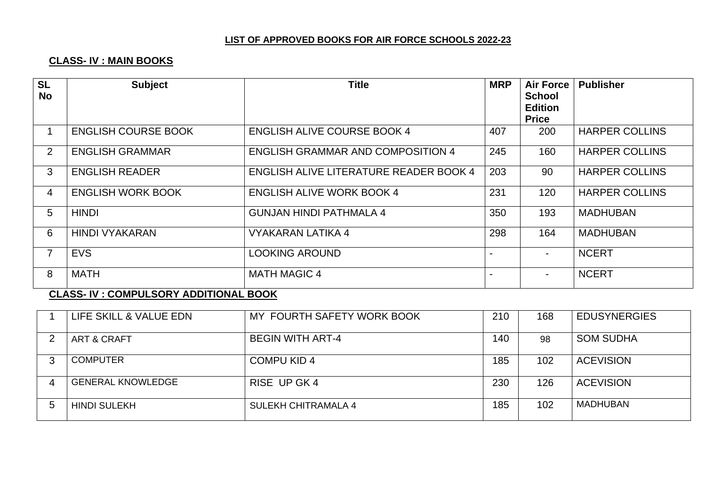# **CLASS- IV : MAIN BOOKS**

| <b>SL</b><br><b>No</b> | <b>Subject</b>             | <b>Title</b>                                  | <b>MRP</b> | <b>Air Force</b><br><b>School</b><br><b>Edition</b><br><b>Price</b> | <b>Publisher</b>      |
|------------------------|----------------------------|-----------------------------------------------|------------|---------------------------------------------------------------------|-----------------------|
|                        | <b>ENGLISH COURSE BOOK</b> | <b>ENGLISH ALIVE COURSE BOOK 4</b>            | 407        | 200                                                                 | <b>HARPER COLLINS</b> |
| $\overline{2}$         | <b>ENGLISH GRAMMAR</b>     | <b>ENGLISH GRAMMAR AND COMPOSITION 4</b>      | 245        | 160                                                                 | <b>HARPER COLLINS</b> |
| 3                      | <b>ENGLISH READER</b>      | <b>ENGLISH ALIVE LITERATURE READER BOOK 4</b> | 203        | 90                                                                  | <b>HARPER COLLINS</b> |
| 4                      | <b>ENGLISH WORK BOOK</b>   | <b>ENGLISH ALIVE WORK BOOK 4</b>              | 231        | 120 <sub>1</sub>                                                    | <b>HARPER COLLINS</b> |
| 5                      | <b>HINDI</b>               | <b>GUNJAN HINDI PATHMALA 4</b>                | 350        | 193                                                                 | <b>MADHUBAN</b>       |
| 6                      | <b>HINDI VYAKARAN</b>      | VYAKARAN LATIKA 4                             | 298        | 164                                                                 | <b>MADHUBAN</b>       |
| $\overline{7}$         | <b>EVS</b>                 | <b>LOOKING AROUND</b>                         |            |                                                                     | <b>NCERT</b>          |
| 8                      | <b>MATH</b>                | <b>MATH MAGIC 4</b>                           |            |                                                                     | <b>NCERT</b>          |

#### **CLASS- IV : COMPULSORY ADDITIONAL BOOK**

| LIFE SKILL & VALUE EDN   | MY FOURTH SAFETY WORK BOOK | 210 | 168 | <b>EDUSYNERGIES</b> |
|--------------------------|----------------------------|-----|-----|---------------------|
| <b>ART &amp; CRAFT</b>   | <b>BEGIN WITH ART-4</b>    | 140 | 98  | <b>SOM SUDHA</b>    |
| <b>COMPUTER</b>          | <b>COMPU KID 4</b>         | 185 | 102 | <b>ACEVISION</b>    |
| <b>GENERAL KNOWLEDGE</b> | RISE UP GK 4               | 230 | 126 | <b>ACEVISION</b>    |
| <b>HINDI SULEKH</b>      | <b>SULEKH CHITRAMALA 4</b> | 185 | 102 | <b>MADHUBAN</b>     |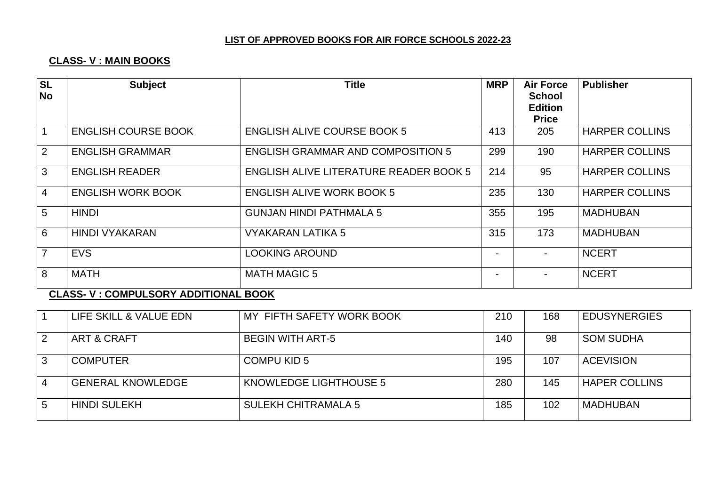# **CLASS- V : MAIN BOOKS**

| <b>SL</b><br><b>No</b> | <b>Subject</b>             | <b>Title</b>                                  | <b>MRP</b>               | <b>Air Force</b><br><b>School</b><br><b>Edition</b><br><b>Price</b> | <b>Publisher</b>      |
|------------------------|----------------------------|-----------------------------------------------|--------------------------|---------------------------------------------------------------------|-----------------------|
|                        | <b>ENGLISH COURSE BOOK</b> | <b>ENGLISH ALIVE COURSE BOOK 5</b>            | 413                      | 205                                                                 | <b>HARPER COLLINS</b> |
| 2                      | <b>ENGLISH GRAMMAR</b>     | <b>ENGLISH GRAMMAR AND COMPOSITION 5</b>      | 299                      | 190                                                                 | <b>HARPER COLLINS</b> |
| $\mathbf{3}$           | <b>ENGLISH READER</b>      | <b>ENGLISH ALIVE LITERATURE READER BOOK 5</b> | 214                      | 95                                                                  | <b>HARPER COLLINS</b> |
| $\overline{4}$         | <b>ENGLISH WORK BOOK</b>   | <b>ENGLISH ALIVE WORK BOOK 5</b>              | 235                      | 130                                                                 | <b>HARPER COLLINS</b> |
| 5                      | <b>HINDI</b>               | <b>GUNJAN HINDI PATHMALA 5</b>                | 355                      | 195                                                                 | <b>MADHUBAN</b>       |
| 6                      | <b>HINDI VYAKARAN</b>      | VYAKARAN LATIKA 5                             | 315                      | 173                                                                 | <b>MADHUBAN</b>       |
| $\overline{7}$         | <b>EVS</b>                 | <b>LOOKING AROUND</b>                         | $\overline{\phantom{a}}$ |                                                                     | <b>NCERT</b>          |
| 8                      | <b>MATH</b>                | <b>MATH MAGIC 5</b>                           | $\blacksquare$           |                                                                     | <b>NCERT</b>          |

#### **CLASS- V : COMPULSORY ADDITIONAL BOOK**

|   | LIFE SKILL & VALUE EDN   | MY FIFTH SAFETY WORK BOOK  | 210 | 168 | <b>EDUSYNERGIES</b>  |
|---|--------------------------|----------------------------|-----|-----|----------------------|
| 2 | <b>ART &amp; CRAFT</b>   | <b>BEGIN WITH ART-5</b>    | 140 | 98  | <b>SOM SUDHA</b>     |
| 3 | <b>COMPUTER</b>          | <b>COMPU KID 5</b>         | 195 | 107 | <b>ACEVISION</b>     |
| 4 | <b>GENERAL KNOWLEDGE</b> | KNOWLEDGE LIGHTHOUSE 5     | 280 | 145 | <b>HAPER COLLINS</b> |
| b | <b>HINDI SULEKH</b>      | <b>SULEKH CHITRAMALA 5</b> | 185 | 102 | <b>MADHUBAN</b>      |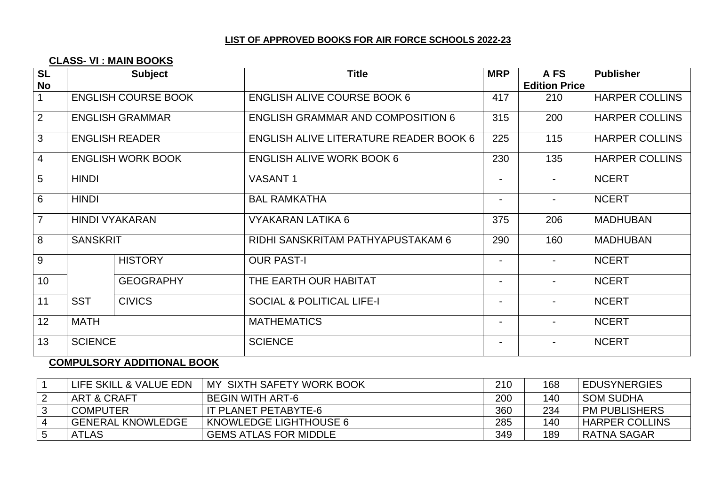#### **CLASS- VI : MAIN BOOKS**

|              | <b>Subject</b>   | <b>Title</b>                                                                                                                                                            | <b>MRP</b>               | A FS<br><b>Edition Price</b> | <b>Publisher</b>      |
|--------------|------------------|-------------------------------------------------------------------------------------------------------------------------------------------------------------------------|--------------------------|------------------------------|-----------------------|
|              |                  | <b>ENGLISH ALIVE COURSE BOOK 6</b>                                                                                                                                      | 417                      | 210                          | <b>HARPER COLLINS</b> |
|              |                  | <b>ENGLISH GRAMMAR AND COMPOSITION 6</b>                                                                                                                                | 315                      | 200                          | <b>HARPER COLLINS</b> |
|              |                  | <b>ENGLISH ALIVE LITERATURE READER BOOK 6</b>                                                                                                                           | 225                      | 115                          | <b>HARPER COLLINS</b> |
|              |                  | <b>ENGLISH ALIVE WORK BOOK 6</b>                                                                                                                                        | 230                      | 135                          | <b>HARPER COLLINS</b> |
| <b>HINDI</b> |                  | <b>VASANT1</b>                                                                                                                                                          | $\blacksquare$           | $\blacksquare$               | <b>NCERT</b>          |
| <b>HINDI</b> |                  | <b>BAL RAMKATHA</b>                                                                                                                                                     | $\blacksquare$           | $\blacksquare$               | <b>NCERT</b>          |
|              |                  | VYAKARAN LATIKA 6                                                                                                                                                       | 375                      | 206                          | <b>MADHUBAN</b>       |
|              |                  | RIDHI SANSKRITAM PATHYAPUSTAKAM 6                                                                                                                                       | 290                      | 160                          | <b>MADHUBAN</b>       |
|              | <b>HISTORY</b>   | <b>OUR PAST-I</b>                                                                                                                                                       | $\blacksquare$           |                              | <b>NCERT</b>          |
|              | <b>GEOGRAPHY</b> | THE EARTH OUR HABITAT                                                                                                                                                   | $\overline{\phantom{0}}$ |                              | <b>NCERT</b>          |
| <b>SST</b>   | <b>CIVICS</b>    | <b>SOCIAL &amp; POLITICAL LIFE-I</b>                                                                                                                                    | $\blacksquare$           | $\blacksquare$               | <b>NCERT</b>          |
| <b>MATH</b>  |                  | <b>MATHEMATICS</b>                                                                                                                                                      | $\blacksquare$           | ۰                            | <b>NCERT</b>          |
|              |                  | <b>SCIENCE</b>                                                                                                                                                          | $\blacksquare$           |                              | <b>NCERT</b>          |
|              |                  | <b>ENGLISH COURSE BOOK</b><br><b>ENGLISH GRAMMAR</b><br><b>ENGLISH READER</b><br><b>ENGLISH WORK BOOK</b><br><b>HINDI VYAKARAN</b><br><b>SANSKRIT</b><br><b>SCIENCE</b> |                          |                              |                       |

# **COMPULSORY ADDITIONAL BOOK**

| LIFE SKILL & VALUE EDN   | I MY SIXTH SAFETY WORK BOOK  | 210 | 168 | <b>EDUSYNERGIES</b>   |
|--------------------------|------------------------------|-----|-----|-----------------------|
| ART & CRAFT              | BEGIN WITH ART-6             | 200 | 140 | <b>SOM SUDHA</b>      |
| <b>COMPUTER</b>          | IT PLANET PETABYTE-6         | 360 | 234 | <b>PM PUBLISHERS</b>  |
| <b>GENERAL KNOWLEDGE</b> | KNOWLEDGE LIGHTHOUSE 6       | 285 | 140 | <b>HARPER COLLINS</b> |
| <b>ATLAS</b>             | <b>GEMS ATLAS FOR MIDDLE</b> | 349 | 189 | RATNA SAGAR           |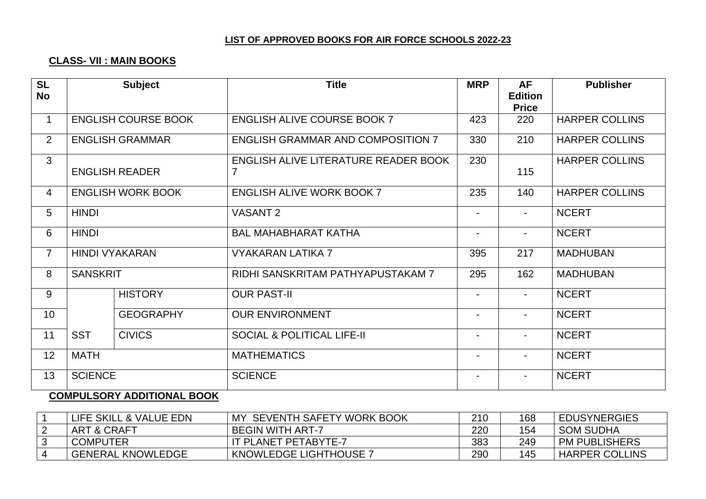# **CLASS- VII : MAIN BOOKS**

| <b>SL</b><br><b>No</b> |                 | <b>Subject</b>             | <b>Title</b>                              | <b>MRP</b>               | <b>AF</b><br><b>Edition</b><br><b>Price</b> | <b>Publisher</b>      |
|------------------------|-----------------|----------------------------|-------------------------------------------|--------------------------|---------------------------------------------|-----------------------|
| $\mathbf{1}$           |                 | <b>ENGLISH COURSE BOOK</b> | <b>ENGLISH ALIVE COURSE BOOK 7</b>        | 423                      | 220                                         | <b>HARPER COLLINS</b> |
| $\overline{2}$         |                 | <b>ENGLISH GRAMMAR</b>     | <b>ENGLISH GRAMMAR AND COMPOSITION 7</b>  | 330                      | 210                                         | <b>HARPER COLLINS</b> |
| 3                      |                 | <b>ENGLISH READER</b>      | ENGLISH ALIVE LITERATURE READER BOOK<br>7 | 230                      | 115                                         | <b>HARPER COLLINS</b> |
| 4                      |                 | <b>ENGLISH WORK BOOK</b>   | <b>ENGLISH ALIVE WORK BOOK 7</b>          | 235                      | 140                                         | <b>HARPER COLLINS</b> |
| 5                      | <b>HINDI</b>    |                            | <b>VASANT 2</b>                           | $\overline{\phantom{a}}$ | $\blacksquare$                              | <b>NCERT</b>          |
| 6                      | <b>HINDI</b>    |                            | <b>BAL MAHABHARAT KATHA</b>               |                          | $\blacksquare$                              | <b>NCERT</b>          |
| $\overline{7}$         |                 | <b>HINDI VYAKARAN</b>      | <b>VYAKARAN LATIKA 7</b>                  | 395                      | 217                                         | <b>MADHUBAN</b>       |
| 8                      | <b>SANSKRIT</b> |                            | RIDHI SANSKRITAM PATHYAPUSTAKAM 7         | 295                      | 162                                         | <b>MADHUBAN</b>       |
| 9                      |                 | <b>HISTORY</b>             | <b>OUR PAST-II</b>                        | $\overline{\phantom{a}}$ | $\sim$                                      | <b>NCERT</b>          |
| 10                     |                 | <b>GEOGRAPHY</b>           | <b>OUR ENVIRONMENT</b>                    | $\overline{\phantom{a}}$ | $\sim$                                      | <b>NCERT</b>          |
| 11                     | <b>SST</b>      | <b>CIVICS</b>              | <b>SOCIAL &amp; POLITICAL LIFE-II</b>     | $\blacksquare$           | $\blacksquare$                              | <b>NCERT</b>          |
| 12                     | <b>MATH</b>     |                            | <b>MATHEMATICS</b>                        | $\blacksquare$           | $\blacksquare$                              | <b>NCERT</b>          |
| 13                     | <b>SCIENCE</b>  |                            | <b>SCIENCE</b>                            |                          |                                             | <b>NCERT</b>          |

#### **COMPULSORY ADDITIONAL BOOK**

| LIFE SKILL & VALUE EDN   | MY SEVENTH SAFETY WORK BOOK   | 210 | 168 | <b>EDUSYNERGIES</b>   |
|--------------------------|-------------------------------|-----|-----|-----------------------|
| ART & CRAFT              | <b>BEGIN WITH ART-7</b>       | 220 | 154 | <b>SOM SUDHA</b>      |
| <b>COMPUTER</b>          | IT PLANET PETABYTE-7          | 383 | 249 | <b>PM PUBLISHERS</b>  |
| <b>GENERAL KNOWLEDGE</b> | <b>KNOWLEDGE LIGHTHOUSE 7</b> | 290 | 145 | <b>HARPER COLLINS</b> |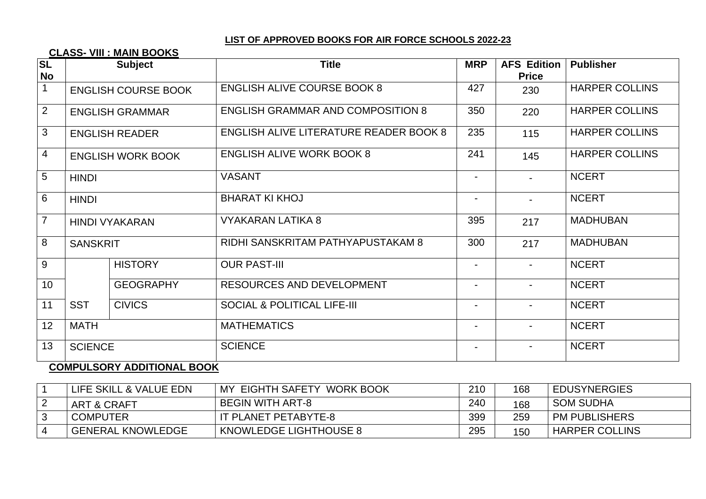#### **CLASS- VIII : MAIN BOOKS**

| $ S_L $<br><b>No</b> |                 | <b>Subject</b>             | <b>Title</b>                                  | <b>MRP</b>               | <b>AFS Edition</b><br><b>Price</b> | <b>Publisher</b>      |
|----------------------|-----------------|----------------------------|-----------------------------------------------|--------------------------|------------------------------------|-----------------------|
| $\mathbf 1$          |                 | <b>ENGLISH COURSE BOOK</b> | <b>ENGLISH ALIVE COURSE BOOK 8</b>            | 427                      | 230                                | <b>HARPER COLLINS</b> |
| 2                    |                 | <b>ENGLISH GRAMMAR</b>     | <b>ENGLISH GRAMMAR AND COMPOSITION 8</b>      | 350                      | 220                                | <b>HARPER COLLINS</b> |
| 3                    |                 | <b>ENGLISH READER</b>      | <b>ENGLISH ALIVE LITERATURE READER BOOK 8</b> | 235                      | 115                                | <b>HARPER COLLINS</b> |
| $\overline{4}$       |                 | <b>ENGLISH WORK BOOK</b>   | <b>ENGLISH ALIVE WORK BOOK 8</b>              | 241                      | 145                                | <b>HARPER COLLINS</b> |
| 5                    | <b>HINDI</b>    |                            | <b>VASANT</b>                                 | $\blacksquare$           |                                    | <b>NCERT</b>          |
| 6                    | <b>HINDI</b>    |                            | <b>BHARAT KI KHOJ</b>                         | $\blacksquare$           |                                    | <b>NCERT</b>          |
| $\overline{7}$       |                 | <b>HINDI VYAKARAN</b>      | VYAKARAN LATIKA 8                             | 395                      | 217                                | <b>MADHUBAN</b>       |
| 8                    | <b>SANSKRIT</b> |                            | RIDHI SANSKRITAM PATHYAPUSTAKAM 8             | 300                      | 217                                | <b>MADHUBAN</b>       |
| 9                    |                 | <b>HISTORY</b>             | <b>OUR PAST-III</b>                           | $\blacksquare$           |                                    | <b>NCERT</b>          |
| 10                   |                 | <b>GEOGRAPHY</b>           | <b>RESOURCES AND DEVELOPMENT</b>              | $\overline{\phantom{0}}$ |                                    | <b>NCERT</b>          |
| 11                   | <b>SST</b>      | <b>CIVICS</b>              | <b>SOCIAL &amp; POLITICAL LIFE-III</b>        |                          |                                    | <b>NCERT</b>          |
| 12                   | <b>MATH</b>     |                            | <b>MATHEMATICS</b>                            |                          |                                    | <b>NCERT</b>          |
| 13                   | <b>SCIENCE</b>  |                            | <b>SCIENCE</b>                                |                          |                                    | <b>NCERT</b>          |

# **COMPULSORY ADDITIONAL BOOK**

| LIFE SKILL & VALUE EDN   | MY EIGHTH SAFETY<br><b>WORK BOOK</b> | 210 | 168 | <b>EDUSYNERGIES</b>   |
|--------------------------|--------------------------------------|-----|-----|-----------------------|
| ART & CRAFT              | BEGIN WITH ART-8                     | 240 | 168 | <b>SOM SUDHA</b>      |
| <b>COMPUTER</b>          | IT PLANET PETABYTE-8                 | 399 | 259 | <b>PM PUBLISHERS</b>  |
| <b>GENERAL KNOWLEDGE</b> | KNOWLEDGE LIGHTHOUSE 8               | 295 | 150 | <b>HARPER COLLINS</b> |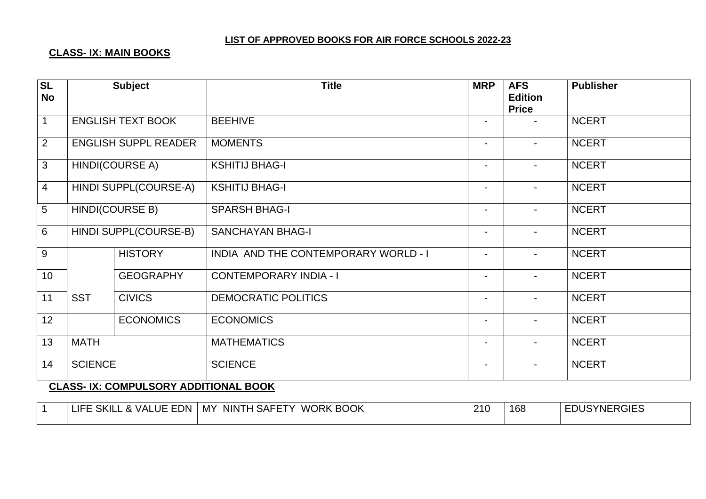# **CLASS- IX: MAIN BOOKS**

| $\overline{\text{SL}}$<br><b>No</b> |                        | <b>Subject</b>              | <b>Title</b>                         | <b>MRP</b>               | <b>AFS</b><br><b>Edition</b><br><b>Price</b> | <b>Publisher</b> |
|-------------------------------------|------------------------|-----------------------------|--------------------------------------|--------------------------|----------------------------------------------|------------------|
| $\mathbf{1}$                        |                        | <b>ENGLISH TEXT BOOK</b>    | <b>BEEHIVE</b>                       | $\blacksquare$           |                                              | <b>NCERT</b>     |
| $\overline{2}$                      |                        | <b>ENGLISH SUPPL READER</b> | <b>MOMENTS</b>                       | $\blacksquare$           |                                              | <b>NCERT</b>     |
| $\mathbf{3}$                        |                        | <b>HINDI(COURSE A)</b>      | <b>KSHITIJ BHAG-I</b>                | $\blacksquare$           |                                              | <b>NCERT</b>     |
| $\overline{4}$                      |                        | HINDI SUPPL(COURSE-A)       | <b>KSHITIJ BHAG-I</b>                | $\blacksquare$           | $\overline{\phantom{0}}$                     | <b>NCERT</b>     |
| $5\phantom{.0}$                     | <b>HINDI(COURSE B)</b> |                             | <b>SPARSH BHAG-I</b>                 | $\blacksquare$           |                                              | <b>NCERT</b>     |
| $6\phantom{1}$                      |                        | HINDI SUPPL(COURSE-B)       | <b>SANCHAYAN BHAG-I</b>              | $\blacksquare$           | $\blacksquare$                               | <b>NCERT</b>     |
| 9                                   |                        | <b>HISTORY</b>              | INDIA AND THE CONTEMPORARY WORLD - I | $\overline{\phantom{0}}$ |                                              | <b>NCERT</b>     |
| 10                                  |                        | <b>GEOGRAPHY</b>            | <b>CONTEMPORARY INDIA - I</b>        | $\blacksquare$           | $\overline{\phantom{0}}$                     | <b>NCERT</b>     |
| 11                                  | <b>SST</b>             | <b>CIVICS</b>               | <b>DEMOCRATIC POLITICS</b>           | $\blacksquare$           |                                              | <b>NCERT</b>     |
| 12                                  |                        | <b>ECONOMICS</b>            | <b>ECONOMICS</b>                     | $\overline{\phantom{a}}$ |                                              | <b>NCERT</b>     |
| 13                                  | <b>MATH</b>            |                             | <b>MATHEMATICS</b>                   | $\blacksquare$           |                                              | <b>NCERT</b>     |
| 14                                  | <b>SCIENCE</b>         |                             | <b>SCIENCE</b>                       | $\blacksquare$           | $\overline{\phantom{0}}$                     | <b>NCERT</b>     |

#### **CLASS- IX: COMPULSORY ADDITIONAL BOOK**

| EDN<br><b>SKIL</b><br><b>LIFE</b><br>. & VALUE | <b>WORK BOOK</b><br>NINTH<br>1 SAFETY<br>. MY | 210 | 168<br>- | <b>EDUSYNERGIES</b> |
|------------------------------------------------|-----------------------------------------------|-----|----------|---------------------|
|                                                |                                               |     |          |                     |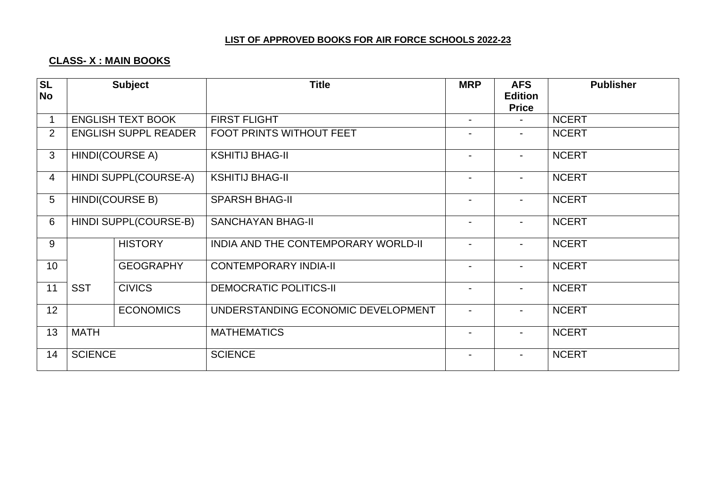# **CLASS- X : MAIN BOOKS**

| <b>SL</b><br><b>No</b> |                       | <b>Subject</b>              | <b>Title</b>                        | <b>MRP</b>               | <b>AFS</b><br><b>Edition</b> | <b>Publisher</b> |
|------------------------|-----------------------|-----------------------------|-------------------------------------|--------------------------|------------------------------|------------------|
|                        |                       |                             |                                     |                          | <b>Price</b>                 |                  |
| 1                      |                       | <b>ENGLISH TEXT BOOK</b>    | <b>FIRST FLIGHT</b>                 | $\blacksquare$           | $\blacksquare$               | <b>NCERT</b>     |
| $\overline{2}$         |                       | <b>ENGLISH SUPPL READER</b> | <b>FOOT PRINTS WITHOUT FEET</b>     | $\blacksquare$           | $\blacksquare$               | <b>NCERT</b>     |
| 3                      |                       | HINDI(COURSE A)             | <b>KSHITIJ BHAG-II</b>              | $\blacksquare$           | $\blacksquare$               | <b>NCERT</b>     |
| $\overline{4}$         |                       | HINDI SUPPL(COURSE-A)       | <b>KSHITIJ BHAG-II</b>              | $\blacksquare$           | $\blacksquare$               | <b>NCERT</b>     |
| 5                      | HINDI(COURSE B)       |                             | <b>SPARSH BHAG-II</b>               | $\blacksquare$           | $\blacksquare$               | <b>NCERT</b>     |
| 6                      | HINDI SUPPL(COURSE-B) |                             | <b>SANCHAYAN BHAG-II</b>            | $\blacksquare$           | $\blacksquare$               | <b>NCERT</b>     |
| 9                      |                       | <b>HISTORY</b>              | INDIA AND THE CONTEMPORARY WORLD-II | $\blacksquare$           | $\blacksquare$               | <b>NCERT</b>     |
| 10 <sup>°</sup>        |                       | <b>GEOGRAPHY</b>            | <b>CONTEMPORARY INDIA-II</b>        | $\blacksquare$           | $\sim$                       | <b>NCERT</b>     |
| 11                     | <b>SST</b>            | <b>CIVICS</b>               | <b>DEMOCRATIC POLITICS-II</b>       | $\overline{\phantom{a}}$ | $\blacksquare$               | <b>NCERT</b>     |
| 12                     |                       | <b>ECONOMICS</b>            | UNDERSTANDING ECONOMIC DEVELOPMENT  | $\overline{\phantom{a}}$ | $\blacksquare$               | <b>NCERT</b>     |
| 13                     | <b>MATH</b>           |                             | <b>MATHEMATICS</b>                  | $\overline{\phantom{a}}$ | $\sim$                       | <b>NCERT</b>     |
| 14                     | <b>SCIENCE</b>        |                             | <b>SCIENCE</b>                      |                          |                              | <b>NCERT</b>     |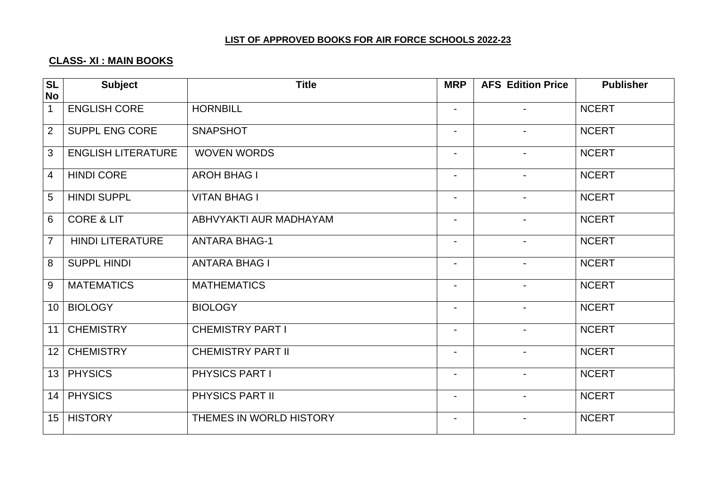# **CLASS- XI : MAIN BOOKS**

| <b>SL</b>       | <b>Subject</b>            | <b>Title</b>             | <b>MRP</b>               | <b>AFS Edition Price</b> | <b>Publisher</b> |
|-----------------|---------------------------|--------------------------|--------------------------|--------------------------|------------------|
| <b>No</b>       |                           |                          |                          |                          |                  |
| $\mathbf{1}$    | <b>ENGLISH CORE</b>       | <b>HORNBILL</b>          | $\overline{\phantom{0}}$ | $\blacksquare$           | <b>NCERT</b>     |
| $\overline{2}$  | SUPPL ENG CORE            | <b>SNAPSHOT</b>          | $\overline{\phantom{a}}$ | $\overline{\phantom{a}}$ | <b>NCERT</b>     |
| 3               | <b>ENGLISH LITERATURE</b> | <b>WOVEN WORDS</b>       | $\overline{\phantom{0}}$ | $\blacksquare$           | <b>NCERT</b>     |
| $\overline{4}$  | <b>HINDI CORE</b>         | <b>AROH BHAG I</b>       | $\blacksquare$           | $\blacksquare$           | <b>NCERT</b>     |
| 5               | <b>HINDI SUPPL</b>        | <b>VITAN BHAG I</b>      | $\blacksquare$           | $\overline{\phantom{a}}$ | <b>NCERT</b>     |
| 6               | <b>CORE &amp; LIT</b>     | ABHVYAKTI AUR MADHAYAM   | $\overline{\phantom{0}}$ | $\blacksquare$           | <b>NCERT</b>     |
| $\overline{7}$  | <b>HINDI LITERATURE</b>   | <b>ANTARA BHAG-1</b>     | $\overline{\phantom{a}}$ | $\overline{\phantom{a}}$ | <b>NCERT</b>     |
| 8               | <b>SUPPL HINDI</b>        | <b>ANTARA BHAG I</b>     | Ξ.                       | $\blacksquare$           | <b>NCERT</b>     |
| 9               | <b>MATEMATICS</b>         | <b>MATHEMATICS</b>       | $\overline{\phantom{0}}$ | $\blacksquare$           | <b>NCERT</b>     |
| 10 <sup>1</sup> | <b>BIOLOGY</b>            | <b>BIOLOGY</b>           | $\blacksquare$           | $\overline{\phantom{a}}$ | <b>NCERT</b>     |
| 11              | <b>CHEMISTRY</b>          | <b>CHEMISTRY PART I</b>  | Ξ.                       | $\blacksquare$           | <b>NCERT</b>     |
| 12              | <b>CHEMISTRY</b>          | <b>CHEMISTRY PART II</b> | $\blacksquare$           | $\overline{\phantom{a}}$ | <b>NCERT</b>     |
| 13              | <b>PHYSICS</b>            | PHYSICS PART I           | $\blacksquare$           | $\overline{\phantom{a}}$ | <b>NCERT</b>     |
| 14              | <b>PHYSICS</b>            | PHYSICS PART II          | $\overline{\phantom{a}}$ | $\overline{\phantom{a}}$ | <b>NCERT</b>     |
| 15              | <b>HISTORY</b>            | THEMES IN WORLD HISTORY  | $\blacksquare$           | $\blacksquare$           | <b>NCERT</b>     |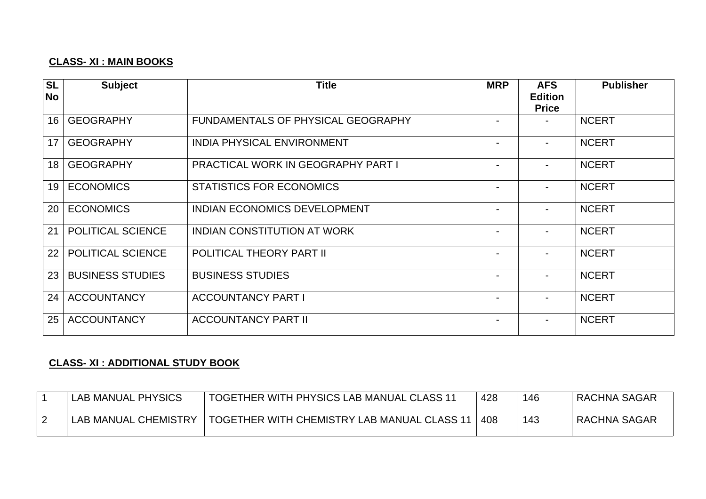# **CLASS- XI : MAIN BOOKS**

| <b>SL</b><br><b>No</b> | <b>Subject</b>           | <b>Title</b>                              | <b>MRP</b> | <b>AFS</b><br><b>Edition</b><br><b>Price</b> | <b>Publisher</b> |
|------------------------|--------------------------|-------------------------------------------|------------|----------------------------------------------|------------------|
| 16                     | <b>GEOGRAPHY</b>         | <b>FUNDAMENTALS OF PHYSICAL GEOGRAPHY</b> |            |                                              | <b>NCERT</b>     |
| 17                     | <b>GEOGRAPHY</b>         | <b>INDIA PHYSICAL ENVIRONMENT</b>         |            | $\blacksquare$                               | <b>NCERT</b>     |
| 18                     | <b>GEOGRAPHY</b>         | <b>PRACTICAL WORK IN GEOGRAPHY PART I</b> |            |                                              | <b>NCERT</b>     |
| 19                     | <b>ECONOMICS</b>         | <b>STATISTICS FOR ECONOMICS</b>           |            |                                              | <b>NCERT</b>     |
| 20                     | <b>ECONOMICS</b>         | <b>INDIAN ECONOMICS DEVELOPMENT</b>       |            |                                              | <b>NCERT</b>     |
| 21                     | POLITICAL SCIENCE        | <b>INDIAN CONSTITUTION AT WORK</b>        |            | $\overline{\phantom{0}}$                     | <b>NCERT</b>     |
| 22                     | <b>POLITICAL SCIENCE</b> | <b>POLITICAL THEORY PART II</b>           |            |                                              | <b>NCERT</b>     |
| 23                     | <b>BUSINESS STUDIES</b>  | <b>BUSINESS STUDIES</b>                   |            |                                              | <b>NCERT</b>     |
| 24                     | <b>ACCOUNTANCY</b>       | <b>ACCOUNTANCY PART I</b>                 |            |                                              | <b>NCERT</b>     |
| 25                     | <b>ACCOUNTANCY</b>       | <b>ACCOUNTANCY PART II</b>                |            |                                              | <b>NCERT</b>     |

# **CLASS- XI : ADDITIONAL STUDY BOOK**

| LAB MANUAL PHYSICS   | <b>TOGETHER WITH PHYSICS LAB MANUAL CLASS 11</b> | 428 | 146 | <b>RACHNA SAGAR</b> |
|----------------------|--------------------------------------------------|-----|-----|---------------------|
| LAB MANUAL CHEMISTRY | TOGETHER WITH CHEMISTRY LAB MANUAL CLASS 11      | 408 | 143 | <b>RACHNA SAGAR</b> |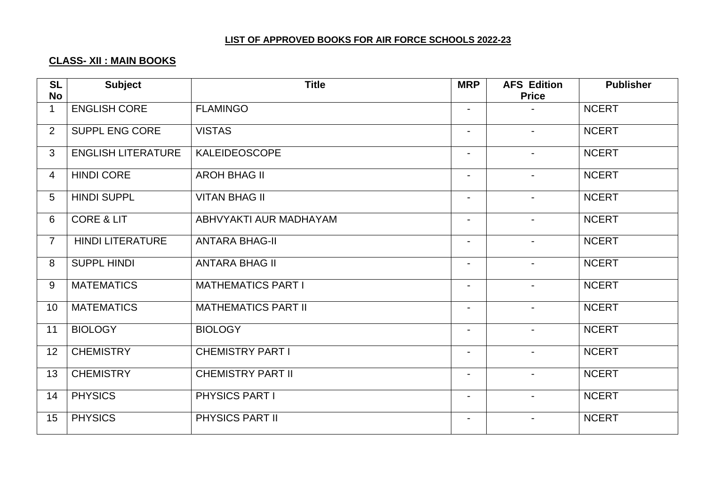# **CLASS- XII : MAIN BOOKS**

| <b>SL</b><br><b>No</b> | <b>Subject</b>            | <b>Title</b>               | <b>MRP</b>     | <b>AFS Edition</b><br><b>Price</b> | <b>Publisher</b> |
|------------------------|---------------------------|----------------------------|----------------|------------------------------------|------------------|
| $\mathbf 1$            | <b>ENGLISH CORE</b>       | <b>FLAMINGO</b>            | $\blacksquare$ |                                    | <b>NCERT</b>     |
| $\overline{2}$         | SUPPL ENG CORE            | <b>VISTAS</b>              | $\sim$         | $\sim$                             | <b>NCERT</b>     |
| $\mathbf{3}$           | <b>ENGLISH LITERATURE</b> | <b>KALEIDEOSCOPE</b>       | $\blacksquare$ | $\sim$                             | <b>NCERT</b>     |
| $\overline{4}$         | <b>HINDI CORE</b>         | <b>AROH BHAG II</b>        | $\blacksquare$ | $\blacksquare$                     | <b>NCERT</b>     |
| 5                      | <b>HINDI SUPPL</b>        | <b>VITAN BHAG II</b>       | $\blacksquare$ | $\overline{\phantom{0}}$           | <b>NCERT</b>     |
| 6                      | <b>CORE &amp; LIT</b>     | ABHVYAKTI AUR MADHAYAM     | $\sim$         | $\sim$                             | <b>NCERT</b>     |
| $\overline{7}$         | <b>HINDI LITERATURE</b>   | <b>ANTARA BHAG-II</b>      | $\blacksquare$ | $\blacksquare$                     | <b>NCERT</b>     |
| 8                      | <b>SUPPL HINDI</b>        | <b>ANTARA BHAG II</b>      | $\blacksquare$ |                                    | <b>NCERT</b>     |
| 9                      | <b>MATEMATICS</b>         | <b>MATHEMATICS PART I</b>  | $\blacksquare$ | $\overline{\phantom{0}}$           | <b>NCERT</b>     |
| 10                     | <b>MATEMATICS</b>         | <b>MATHEMATICS PART II</b> | $\blacksquare$ | $\blacksquare$                     | <b>NCERT</b>     |
| 11                     | <b>BIOLOGY</b>            | <b>BIOLOGY</b>             | $\blacksquare$ |                                    | <b>NCERT</b>     |
| 12                     | <b>CHEMISTRY</b>          | <b>CHEMISTRY PART I</b>    | $\blacksquare$ | $\blacksquare$                     | <b>NCERT</b>     |
| 13                     | <b>CHEMISTRY</b>          | <b>CHEMISTRY PART II</b>   | $\sim$         | $\sim$                             | <b>NCERT</b>     |
| 14                     | <b>PHYSICS</b>            | PHYSICS PART I             | $\blacksquare$ | $\overline{\phantom{0}}$           | <b>NCERT</b>     |
| 15                     | <b>PHYSICS</b>            | PHYSICS PART II            | $\blacksquare$ | $\overline{\phantom{0}}$           | <b>NCERT</b>     |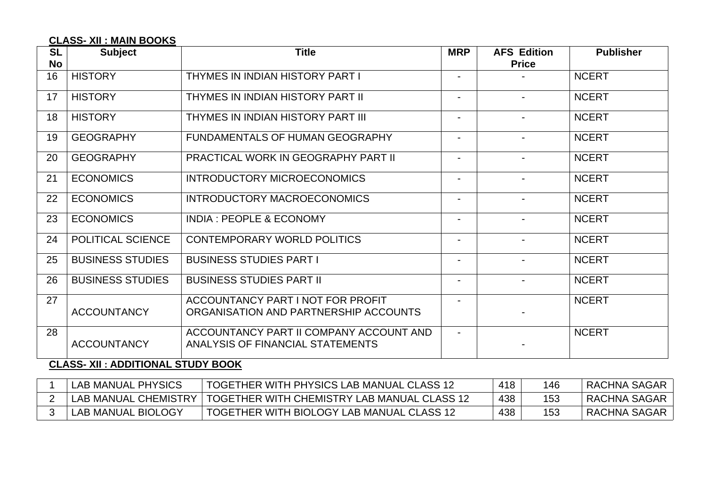# **CLASS- XII : MAIN BOOKS**

| <b>SL</b> | <b>Subject</b><br><b>Title</b> |                                         | <b>MRP</b>               | <b>AFS Edition</b> | <b>Publisher</b> |
|-----------|--------------------------------|-----------------------------------------|--------------------------|--------------------|------------------|
| No        |                                |                                         |                          | <b>Price</b>       |                  |
| 16        | <b>HISTORY</b>                 | THYMES IN INDIAN HISTORY PART I         | $\blacksquare$           |                    | <b>NCERT</b>     |
| 17        | <b>HISTORY</b>                 | THYMES IN INDIAN HISTORY PART II        | -                        |                    | <b>NCERT</b>     |
| 18        | <b>HISTORY</b>                 | THYMES IN INDIAN HISTORY PART III       | $\blacksquare$           |                    | <b>NCERT</b>     |
| 19        | <b>GEOGRAPHY</b>               | <b>FUNDAMENTALS OF HUMAN GEOGRAPHY</b>  | -                        |                    | <b>NCERT</b>     |
| 20        | <b>GEOGRAPHY</b>               | PRACTICAL WORK IN GEOGRAPHY PART II     | Ξ.                       |                    | <b>NCERT</b>     |
| 21        | <b>ECONOMICS</b>               | INTRODUCTORY MICROECONOMICS             | -                        | $\blacksquare$     | <b>NCERT</b>     |
| 22        | <b>ECONOMICS</b>               | INTRODUCTORY MACROECONOMICS             | Ξ.                       | $\blacksquare$     | <b>NCERT</b>     |
| 23        | <b>ECONOMICS</b>               | <b>INDIA: PEOPLE &amp; ECONOMY</b>      | -                        |                    | <b>NCERT</b>     |
| 24        | POLITICAL SCIENCE              | CONTEMPORARY WORLD POLITICS             | -                        | $\blacksquare$     | <b>NCERT</b>     |
| 25        | <b>BUSINESS STUDIES</b>        | <b>BUSINESS STUDIES PART I</b>          | Ξ.                       |                    | <b>NCERT</b>     |
| 26        | <b>BUSINESS STUDIES</b>        | <b>BUSINESS STUDIES PART II</b>         | $\blacksquare$           | $\blacksquare$     | <b>NCERT</b>     |
| 27        |                                | ACCOUNTANCY PART I NOT FOR PROFIT       | -                        |                    | <b>NCERT</b>     |
|           | <b>ACCOUNTANCY</b>             | ORGANISATION AND PARTNERSHIP ACCOUNTS   |                          |                    |                  |
| 28        |                                | ACCOUNTANCY PART II COMPANY ACCOUNT AND | $\overline{\phantom{0}}$ |                    | <b>NCERT</b>     |
|           | <b>ACCOUNTANCY</b>             | ANALYSIS OF FINANCIAL STATEMENTS        |                          |                    |                  |

# **CLASS- XII : ADDITIONAL STUDY BOOK**

| <b>LAB MANUAL PHYSICS</b> | TOGETHER WITH PHYSICS LAB MANUAL CLASS 12   | 418 | 146 | RACHNA SAGAR |
|---------------------------|---------------------------------------------|-----|-----|--------------|
| LAB MANUAL CHEMISTRY      | TOGETHER WITH CHEMISTRY LAB MANUAL CLASS 12 | 438 |     | RACHNA SAGAR |
| <b>LAB MANUAL BIOLOGY</b> | TOGETHER WITH BIOLOGY LAB MANUAL CLASS 12   | 438 |     | RACHNA SAGAR |